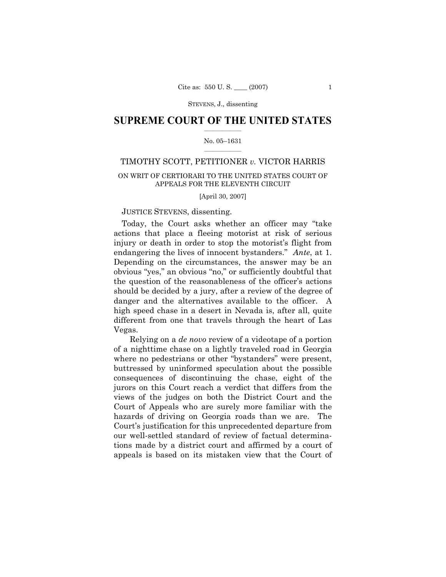## **SUPREME COURT OF THE UNITED STATES**  $\frac{1}{2}$  ,  $\frac{1}{2}$  ,  $\frac{1}{2}$  ,  $\frac{1}{2}$  ,  $\frac{1}{2}$  ,  $\frac{1}{2}$  ,  $\frac{1}{2}$

### No. 05-1631  $\mathcal{L}=\mathcal{L}$

# TIMOTHY SCOTT, PETITIONER *v.* VICTOR HARRIS

## ON WRIT OF CERTIORARI TO THE UNITED STATES COURT OF APPEALS FOR THE ELEVENTH CIRCUIT

[April 30, 2007]

# JUSTICE STEVENS, dissenting.

Today, the Court asks whether an officer may "take actions that place a fleeing motorist at risk of serious injury or death in order to stop the motorist's flight from endangering the lives of innocent by standers.<sup>"</sup> *Ante*, at 1. Depending on the circumstances, the answer may be an obvious "yes," an obvious "no," or sufficiently doubtful that the question of the reasonableness of the officer's actions should be decided by a jury, after a review of the degree of danger and the alternatives available to the officer. A high speed chase in a desert in Nevada is, after all, quite different from one that travels through the heart of Las Vegas.

 Relying on a *de novo* review of a videotape of a portion of a nighttime chase on a lightly traveled road in Georgia where no pedestrians or other "bystanders" were present, buttressed by uninformed speculation about the possible consequences of discontinuing the chase, eight of the jurors on this Court reach a verdict that differs from the views of the judges on both the District Court and the Court of Appeals who are surely more familiar with the hazards of driving on Georgia roads than we are. The Court's justification for this unprecedented departure from our well-settled standard of review of factual determinations made by a district court and affirmed by a court of appeals is based on its mistaken view that the Court of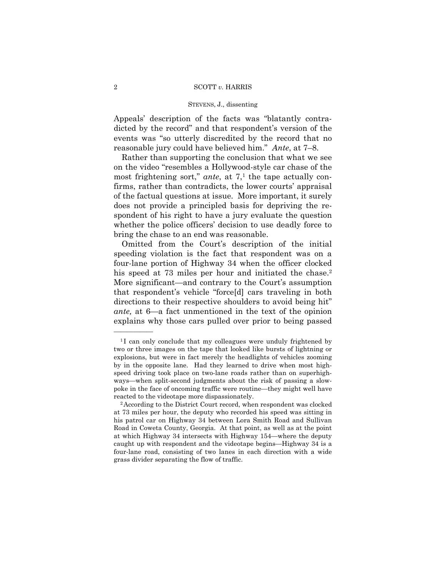Appeals' description of the facts was "blatantly contradicted by the record" and that respondent's version of the events was "so utterly discredited by the record that no reasonable jury could have believed him.<sup>n</sup> Ante, at 7-8.

 Rather than supporting the conclusion that what we see on the video "resembles a Hollywood-style car chase of the most frightening sort," *ante*, at 7,<sup>1</sup> the tape actually confirms, rather than contradicts, the lower courts' appraisal of the factual questions at issue. More important, it surely does not provide a principled basis for depriving the respondent of his right to have a jury evaluate the question whether the police officers' decision to use deadly force to bring the chase to an end was reasonable.

Omitted from the Court's description of the initial speeding violation is the fact that respondent was on a four-lane portion of Highway 34 when the officer clocked his speed at 73 miles per hour and initiated the chase.<sup>2</sup> More significant—and contrary to the Court's assumption that respondent's vehicle "force[d] cars traveling in both directions to their respective shoulders to avoid being hit" *ante*, at 6—a fact unmentioned in the text of the opinion explains why those cars pulled over prior to being passed

<sup>&</sup>lt;sup>1</sup>I can only conclude that my colleagues were unduly frightened by two or three images on the tape that looked like bursts of lightning or explosions, but were in fact merely the headlights of vehicles zooming by in the opposite lane. Had they learned to drive when most highspeed driving took place on two-lane roads rather than on superhighways—when split-second judgments about the risk of passing a slowpoke in the face of oncoming traffic were routine—they might well have reacted to the videotape more dispassionately.<br><sup>2</sup>According to the District Court record, when respondent was clocked

at 73 miles per hour, the deputy who recorded his speed was sitting in his patrol car on Highway 34 between Lora Smith Road and Sullivan Road in Coweta County, Georgia. At that point, as well as at the point at which Highway 34 intersects with Highway 154—where the deputy caught up with respondent and the videotape begins—Highway 34 is a four-lane road, consisting of two lanes in each direction with a wide grass divider separating the flow of traffic.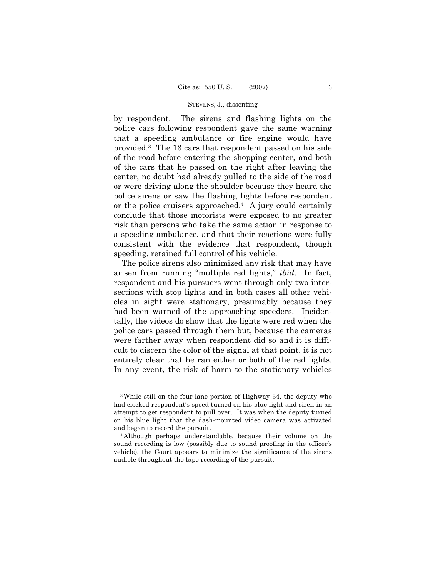by respondent. The sirens and flashing lights on the police cars following respondent gave the same warning that a speeding ambulance or fire engine would have provided.3 The 13 cars that respondent passed on his side of the road before entering the shopping center, and both of the cars that he passed on the right after leaving the center, no doubt had already pulled to the side of the road or were driving along the shoulder because they heard the police sirens or saw the flashing lights before respondent or the police cruisers approached.4 A jury could certainly conclude that those motorists were exposed to no greater risk than persons who take the same action in response to a speeding ambulance, and that their reactions were fully consistent with the evidence that respondent, though speeding, retained full control of his vehicle.

 The police sirens also minimized any risk that may have arisen from running "multiple red lights," *ibid*. In fact, respondent and his pursuers went through only two intersections with stop lights and in both cases all other vehicles in sight were stationary, presumably because they had been warned of the approaching speeders. Incidentally, the videos do show that the lights were red when the police cars passed through them but, because the cameras were farther away when respondent did so and it is difficult to discern the color of the signal at that point, it is not entirely clear that he ran either or both of the red lights. In any event, the risk of harm to the stationary vehicles

<sup>3</sup>While still on the four-lane portion of Highway 34, the deputy who had clocked respondent's speed turned on his blue light and siren in an attempt to get respondent to pull over. It was when the deputy turned on his blue light that the dash-mounted video camera was activated

and began to record the pursuit.<br><sup>4</sup>Although perhaps understandable, because their volume on the sound recording is low (possibly due to sound proofing in the officer's vehicle), the Court appears to minimize the significance of the sirens audible throughout the tape recording of the pursuit.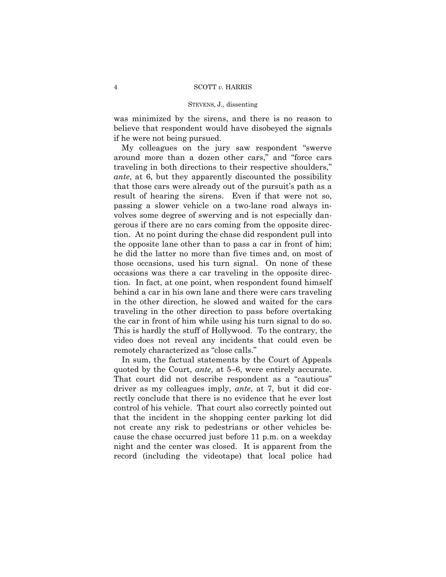was minimized by the sirens, and there is no reason to believe that respondent would have disobeyed the signals if he were not being pursued.

My colleagues on the jury saw respondent "swerve around more than a dozen other cars," and "force cars traveling in both directions to their respective shoulders," *ante*, at 6, but they apparently discounted the possibility that those cars were already out of the pursuit's path as a result of hearing the sirens. Even if that were not so, passing a slower vehicle on a two-lane road always involves some degree of swerving and is not especially dangerous if there are no cars coming from the opposite direction. At no point during the chase did respondent pull into the opposite lane other than to pass a car in front of him; he did the latter no more than five times and, on most of those occasions, used his turn signal. On none of these occasions was there a car traveling in the opposite direction. In fact, at one point, when respondent found himself behind a car in his own lane and there were cars traveling in the other direction, he slowed and waited for the cars traveling in the other direction to pass before overtaking the car in front of him while using his turn signal to do so. This is hardly the stuff of Hollywood. To the contrary, the video does not reveal any incidents that could even be remotely characterized as "close calls."

 In sum, the factual statements by the Court of Appeals quoted by the Court, *ante*, at 5–6, were entirely accurate. That court did not describe respondent as a "cautious" driver as my colleagues imply, *ante*, at 7, but it did correctly conclude that there is no evidence that he ever lost control of his vehicle. That court also correctly pointed out that the incident in the shopping center parking lot did not create any risk to pedestrians or other vehicles because the chase occurred just before 11 p.m. on a weekday night and the center was closed. It is apparent from the record (including the videotape) that local police had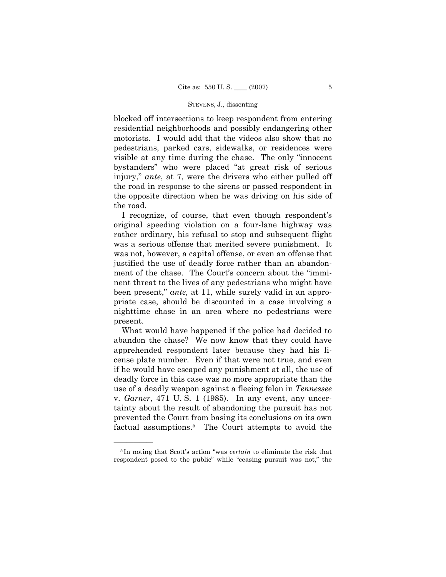blocked off intersections to keep respondent from entering residential neighborhoods and possibly endangering other motorists. I would add that the videos also show that no pedestrians, parked cars, sidewalks, or residences were visible at any time during the chase. The only "innocent bystanders" who were placed "at great risk of serious injury," ante, at 7, were the drivers who either pulled off the road in response to the sirens or passed respondent in the opposite direction when he was driving on his side of the road.

I recognize, of course, that even though respondent's original speeding violation on a four-lane highway was rather ordinary, his refusal to stop and subsequent flight was a serious offense that merited severe punishment. It was not, however, a capital offense, or even an offense that justified the use of deadly force rather than an abandonment of the chase. The Court's concern about the "imminent threat to the lives of any pedestrians who might have been present," *ante*, at 11, while surely valid in an appropriate case, should be discounted in a case involving a nighttime chase in an area where no pedestrians were present.

 What would have happened if the police had decided to abandon the chase? We now know that they could have apprehended respondent later because they had his license plate number. Even if that were not true, and even if he would have escaped any punishment at all, the use of deadly force in this case was no more appropriate than the use of a deadly weapon against a fleeing felon in *Tennessee* v. *Garner*, 471 U. S. 1 (1985). In any event, any uncertainty about the result of abandoning the pursuit has not prevented the Court from basing its conclusions on its own factual assumptions.5 The Court attempts to avoid the

<sup>&</sup>lt;sup>5</sup>In noting that Scott's action "was *certain* to eliminate the risk that respondent posed to the public" while "ceasing pursuit was not," the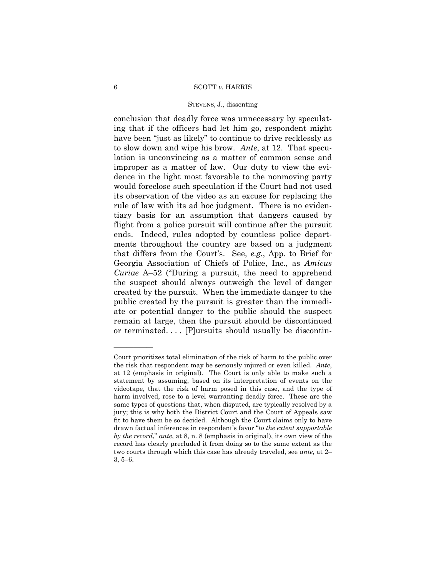#### 6 SCOTT *v.* HARRIS

#### STEVENS, J., dissenting

conclusion that deadly force was unnecessary by speculating that if the officers had let him go, respondent might have been "just as likely" to continue to drive recklessly as to slow down and wipe his brow. *Ante*, at 12. That speculation is unconvincing as a matter of common sense and improper as a matter of law. Our duty to view the evidence in the light most favorable to the nonmoving party would foreclose such speculation if the Court had not used its observation of the video as an excuse for replacing the rule of law with its ad hoc judgment. There is no evidentiary basis for an assumption that dangers caused by flight from a police pursuit will continue after the pursuit ends. Indeed, rules adopted by countless police departments throughout the country are based on a judgment that differs from the Courtís. See, *e.g.*, App. to Brief for Georgia Association of Chiefs of Police, Inc., as *Amicus Curiae* A–52 ("During a pursuit, the need to apprehend the suspect should always outweigh the level of danger created by the pursuit. When the immediate danger to the public created by the pursuit is greater than the immediate or potential danger to the public should the suspect remain at large, then the pursuit should be discontinued or terminated. . . . [P]ursuits should usually be discontin-

Court prioritizes total elimination of the risk of harm to the public over the risk that respondent may be seriously injured or even killed. *Ante*, at 12 (emphasis in original). The Court is only able to make such a statement by assuming, based on its interpretation of events on the videotape, that the risk of harm posed in this case, and the type of harm involved, rose to a level warranting deadly force. These are the same types of questions that, when disputed, are typically resolved by a jury; this is why both the District Court and the Court of Appeals saw fit to have them be so decided. Although the Court claims only to have drawn factual inferences in respondent's favor "*to the extent supportable by the record,*" *ante*, at 8, n. 8 (emphasis in original), its own view of the record has clearly precluded it from doing so to the same extent as the two courts through which this case has already traveled, see *ante*, at 2–  $3, 5-6.$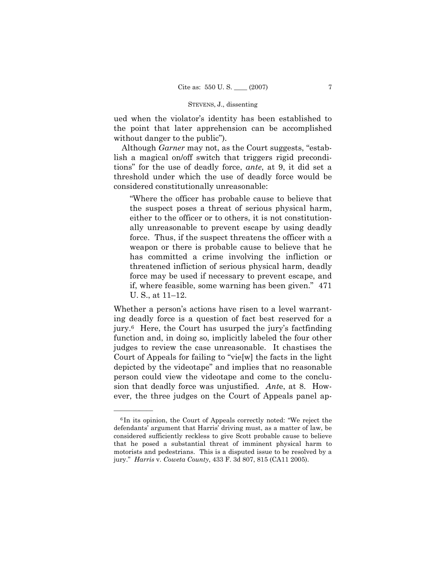ued when the violator's identity has been established to the point that later apprehension can be accomplished without danger to the public").

Although *Garner* may not, as the Court suggests, "establish a magical on/off switch that triggers rigid preconditionsî for the use of deadly force, *ante*, at 9, it did set a threshold under which the use of deadly force would be considered constitutionally unreasonable:

ìWhere the officer has probable cause to believe that the suspect poses a threat of serious physical harm, either to the officer or to others, it is not constitutionally unreasonable to prevent escape by using deadly force. Thus, if the suspect threatens the officer with a weapon or there is probable cause to believe that he has committed a crime involving the infliction or threatened infliction of serious physical harm, deadly force may be used if necessary to prevent escape, and if, where feasible, some warning has been given." 471 U. S., at  $11-12$ .

Whether a person's actions have risen to a level warranting deadly force is a question of fact best reserved for a jury.<sup>6</sup> Here, the Court has usurped the jury's factfinding function and, in doing so, implicitly labeled the four other judges to review the case unreasonable. It chastises the Court of Appeals for failing to "vielw] the facts in the light depicted by the videotape" and implies that no reasonable person could view the videotape and come to the conclusion that deadly force was unjustified. *Ant*e, at 8. However, the three judges on the Court of Appeals panel ap-

 ${}^6$ In its opinion, the Court of Appeals correctly noted: "We reject the defendants' argument that Harris' driving must, as a matter of law, be considered sufficiently reckless to give Scott probable cause to believe that he posed a substantial threat of imminent physical harm to motorists and pedestrians. This is a disputed issue to be resolved by a jury.î *Harris* v. *Coweta County*, 433 F. 3d 807, 815 (CA11 2005).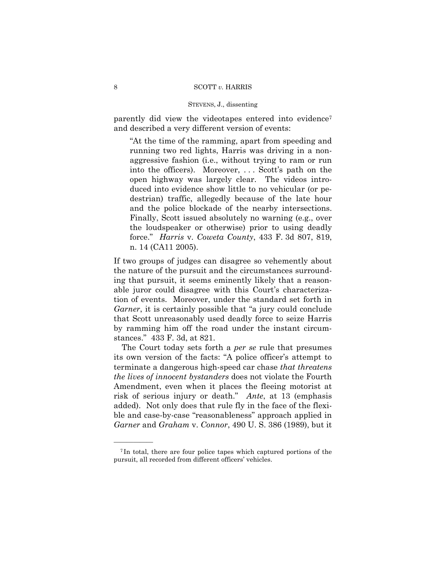parently did view the videotapes entered into evidence7 and described a very different version of events:

ìAt the time of the ramming, apart from speeding and running two red lights, Harris was driving in a nonaggressive fashion (i.e., without trying to ram or run into the officers). Moreover, ... Scott's path on the open highway was largely clear. The videos introduced into evidence show little to no vehicular (or pedestrian) traffic, allegedly because of the late hour and the police blockade of the nearby intersections. Finally, Scott issued absolutely no warning (e.g., over the loudspeaker or otherwise) prior to using deadly force.î *Harris* v. *Coweta County*, 433 F. 3d 807, 819, n. 14 (CA11 2005).

If two groups of judges can disagree so vehemently about the nature of the pursuit and the circumstances surrounding that pursuit, it seems eminently likely that a reasonable juror could disagree with this Court's characterization of events. Moreover, under the standard set forth in *Garner*, it is certainly possible that "a jury could conclude" that Scott unreasonably used deadly force to seize Harris by ramming him off the road under the instant circumstances.î 433 F. 3d, at 821.

 The Court today sets forth a *per se* rule that presumes its own version of the facts: "A police officer's attempt to terminate a dangerous high-speed car chase *that threatens the lives of innocent bystanders* does not violate the Fourth Amendment, even when it places the fleeing motorist at risk of serious injury or death.î *Ante*, at 13 (emphasis added). Not only does that rule fly in the face of the flexible and case-by-case "reasonableness" approach applied in *Garner* and *Graham* v. *Connor*, 490 U. S. 386 (1989), but it

<sup>7</sup> In total, there are four police tapes which captured portions of the pursuit, all recorded from different officers' vehicles.